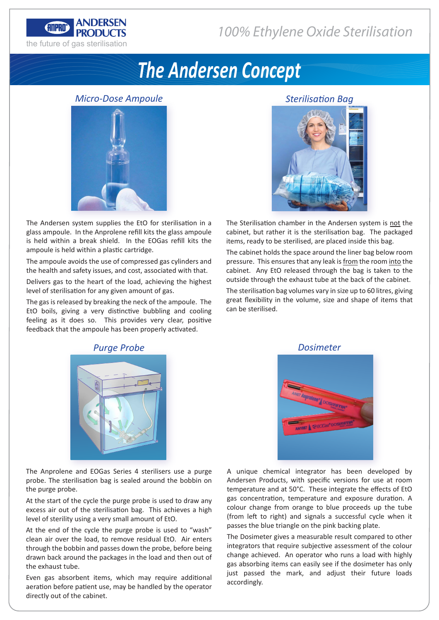

# *The Andersen Concept*

# *Micro-Dose Ampoule*



The Andersen system supplies the EtO for sterilisation in a glass ampoule. In the Anprolene refill kits the glass ampoule is held within a break shield. In the EOGas refill kits the ampoule is held within a plastic cartridge.

The ampoule avoids the use of compressed gas cylinders and the health and safety issues, and cost, associated with that.

Delivers gas to the heart of the load, achieving the highest level of sterilisation for any given amount of gas.

The gas is released by breaking the neck of the ampoule. The EtO boils, giving a very distinctive bubbling and cooling feeling as it does so. This provides very clear, positive feedback that the ampoule has been properly activated.

# *Sterilisation Bag*

The Sterilisation chamber in the Andersen system is not the cabinet, but rather it is the sterilisation bag. The packaged items, ready to be sterilised, are placed inside this bag.

The cabinet holds the space around the liner bag below room pressure. This ensures that any leak is from the room into the cabinet. Any EtO released through the bag is taken to the outside through the exhaust tube at the back of the cabinet.

The sterilisation bag volumes vary in size up to 60 litres, giving great flexibility in the volume, size and shape of items that can be sterilised.



# *Purge Probe*

The Anprolene and EOGas Series 4 sterilisers use a purge probe. The sterilisation bag is sealed around the bobbin on the purge probe.

At the start of the cycle the purge probe is used to draw any excess air out of the sterilisation bag. This achieves a high level of sterility using a very small amount of EtO.

At the end of the cycle the purge probe is used to "wash" clean air over the load, to remove residual EtO. Air enters through the bobbin and passes down the probe, before being drawn back around the packages in the load and then out of the exhaust tube.

Even gas absorbent items, which may require additional aeration before patient use, may be handled by the operator directly out of the cabinet.



A unique chemical integrator has been developed by Andersen Products, with specific versions for use at room temperature and at 50°C. These integrate the effects of EtO gas concentration, temperature and exposure duration. A colour change from orange to blue proceeds up the tube (from left to right) and signals a successful cycle when it passes the blue triangle on the pink backing plate.

The Dosimeter gives a measurable result compared to other integrators that require subjective assessment of the colour change achieved. An operator who runs a load with highly gas absorbing items can easily see if the dosimeter has only just passed the mark, and adjust their future loads accordingly.